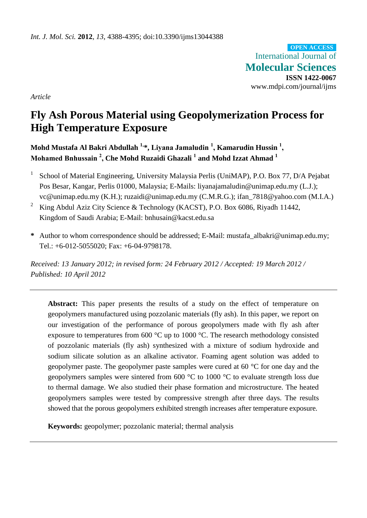International Journal of **Molecular Sciences ISSN 1422-0067** www.mdpi.com/journal/ijms **OPEN ACCESS**

*Article*

# **Fly Ash Porous Material using Geopolymerization Process for High Temperature Exposure**

**Mohd Mustafa Al Bakri Abdullah 1,\*, Liyana Jamaludin <sup>1</sup> , Kamarudin Hussin <sup>1</sup> , Mohamed Bnhussain <sup>2</sup> , Che Mohd Ruzaidi Ghazali <sup>1</sup> and Mohd Izzat Ahmad <sup>1</sup>**

- 1 School of Material Engineering, University Malaysia Perlis (UniMAP), P.O. Box 77, D/A Pejabat Pos Besar, Kangar, Perlis 01000, Malaysia; E-Mails: liyanajamaludin@unimap.edu.my (L.J.); vc@unimap.edu.my (K.H.); ruzaidi@unimap.edu.my (C.M.R.G.); ifan\_7818@yahoo.com (M.I.A.)
- <sup>2</sup> King Abdul Aziz City Science & Technology (KACST), P.O. Box 6086, Riyadh 11442, Kingdom of Saudi Arabia; E-Mail: bnhusain@kacst.edu.sa
- **\*** Author to whom correspondence should be addressed; E-Mail: mustafa\_albakri@unimap.edu.my; Tel.: +6-012-5055020; Fax: +6-04-9798178.

*Received: 13 January 2012; in revised form: 24 February 2012 / Accepted: 19 March 2012 / Published: 10 April 2012*

Abstract: This paper presents the results of a study on the effect of temperature on geopolymers manufactured using pozzolanic materials (fly ash). In this paper, we report on our investigation of the performance of porous geopolymers made with fly ash after exposure to temperatures from 600  $\mathcal{C}$  up to 1000  $\mathcal{C}$ . The research methodology consisted of pozzolanic materials (fly ash) synthesized with a mixture of sodium hydroxide and sodium silicate solution as an alkaline activator. Foaming agent solution was added to geopolymer paste. The geopolymer paste samples were cured at 60  $\degree$ C for one day and the geopolymers samples were sintered from 600  $\degree$ C to 1000  $\degree$ C to evaluate strength loss due to thermal damage. We also studied their phase formation and microstructure. The heated geopolymers samples were tested by compressive strength after three days. The results showed that the porous geopolymers exhibited strength increases after temperature exposure.

**Keywords:** geopolymer; pozzolanic material; thermal analysis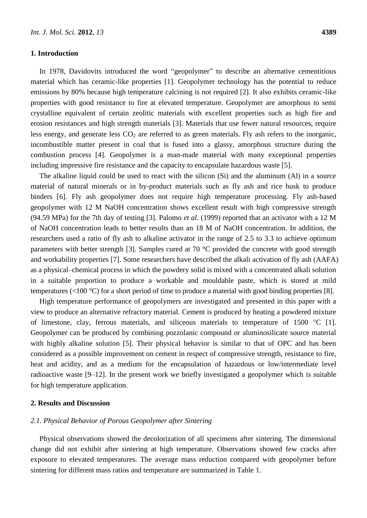### **1. Introduction**

In 1978, Davidovits introduced the word "geopolymer" to describe an alternative cementitious material which has ceramic-like properties [1]. Geopolymer technology has the potential to reduce emissions by 80% because high temperature calcining is not required [2]. It also exhibits ceramic-like properties with good resistance to fire at elevated temperature. Geopolymer are amorphous to semi crystalline equivalent of certain zeolitic materials with excellent properties such as high fire and erosion resistances and high strength materials [3]. Materials that use fewer natural resources, require less energy, and generate less  $CO<sub>2</sub>$  are referred to as green materials. Fly ash refers to the inorganic, incombustible matter present in coal that is fused into a glassy, amorphous structure during the combustion process [4]. Geopolymer is a man-made material with many exceptional properties including impressive fire resistance and the capacity to encapsulate hazardous waste [5].

The alkaline liquid could be used to react with the silicon (Si) and the aluminum (Al) in a source material of natural minerals or in by-product materials such as fly ash and rice husk to produce binders [6]. Fly ash geopolymer does not require high temperature processing. Fly ash-based geopolymer with 12 M NaOH concentration shows excellent result with high compressive strength (94.59 MPa) for the 7th day of testing [3]. Palomo *et al*. (1999) reported that an activator with a 12 M of NaOH concentration leads to better results than an 18 M of NaOH concentration. In addition, the researchers used a ratio of fly ash to alkaline activator in the range of 2.5 to 3.3 to achieve optimum parameters with better strength [3]. Samples cured at 70  $\degree$ C provided the concrete with good strength and workability properties [7]. Some researchers have described the alkali activation of fly ash (AAFA) as a physical–chemical process in which the powdery solid is mixed with a concentrated alkali solution in a suitable proportion to produce a workable and mouldable paste, which is stored at mild temperatures ( $\langle 100 \, \text{C} \rangle$  for a short period of time to produce a material with good binding properties [8].

High temperature performance of geopolymers are investigated and presented in this paper with a view to produce an alternative refractory material. Cement is produced by heating a powdered mixture of limestone, clay, ferrous materials, and siliceous materials to temperature of  $1500 \degree C$  [1]. Geopolymer can be produced by combining pozzolanic compound or aluminosilicate source material with highly alkaline solution [5]. Their physical behavior is similar to that of OPC and has been considered as a possible improvement on cement in respect of compressive strength, resistance to fire, heat and acidity, and as a medium for the encapsulation of hazardous or low/intermediate level radioactive waste [9–12]. In the present work we briefly investigated a geopolymer which is suitable for high temperature application.

# **2. Results and Discussion**

## *2.1. Physical Behavior of Porous Geopolymer after Sintering*

Physical observations showed the decolorization of all specimens after sintering. The dimensional change did not exhibit after sintering at high temperature. Observations showed few cracks after exposure to elevated temperatures. The average mass reduction compared with geopolymer before sintering for different mass ratios and temperature are summarized in Table 1.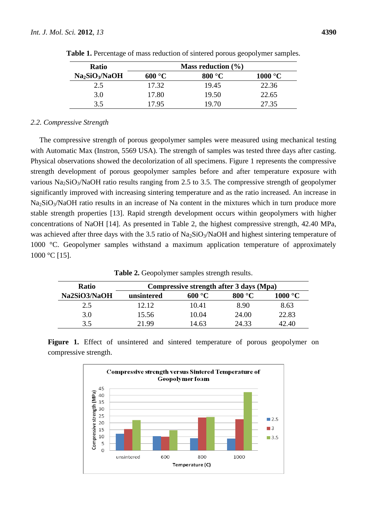| <b>Ratio</b>                           | Mass reduction $(\% )$ |        |                  |  |  |
|----------------------------------------|------------------------|--------|------------------|--|--|
| Na <sub>2</sub> SiO <sub>3</sub> /NaOH | $600 \text{ C}$        | 800 °C | $1000 \text{ C}$ |  |  |
| 2.5                                    | 17.32                  | 19.45  | 22.36            |  |  |
| 3.0                                    | 17.80                  | 19.50  | 22.65            |  |  |
| 3.5                                    | 17.95                  | 19.70  | 27.35            |  |  |

**Table 1.** Percentage of mass reduction of sintered porous geopolymer samples.

# *2.2. Compressive Strength*

The compressive strength of porous geopolymer samples were measured using mechanical testing with Automatic Max (Instron, 5569 USA). The strength of samples was tested three days after casting. Physical observations showed the decolorization of all specimens. Figure 1 represents the compressive strength development of porous geopolymer samples before and after temperature exposure with various  $Na<sub>2</sub>SiO<sub>3</sub>/NaOH$  ratio results ranging from 2.5 to 3.5. The compressive strength of geopolymer significantly improved with increasing sintering temperature and as the ratio increased. An increase in Na<sub>2</sub>SiO<sub>3</sub>/NaOH ratio results in an increase of Na content in the mixtures which in turn produce more stable strength properties [13]. Rapid strength development occurs within geopolymers with higher concentrations of NaOH [14]. As presented in Table 2, the highest compressive strength, 42.40 MPa, was achieved after three days with the 3.5 ratio of  $\text{Na}_2\text{SiO}_3/\text{NaOH}$  and highest sintering temperature of 1000 °C. Geopolymer samples withstand a maximum application temperature of approximately 1000 °C [15].

**Table 2.** Geopolymer samples strength results.

| <b>Ratio</b> | Compressive strength after 3 days (Mpa) |        |        |       |  |
|--------------|-----------------------------------------|--------|--------|-------|--|
| Na2SiO3/NaOH | unsintered                              | 600 °C | 800 °C | 1000  |  |
| 2.5          | 12.12                                   | 10.41  | 8.90   | 8.63  |  |
| 3.0          | 15.56                                   | 10.04  | 24.00  | 22.83 |  |
| 3.5          | 21.99                                   | 14.63  | 24.33  | 42.40 |  |

Figure 1. Effect of unsintered and sintered temperature of porous geopolymer on compressive strength.

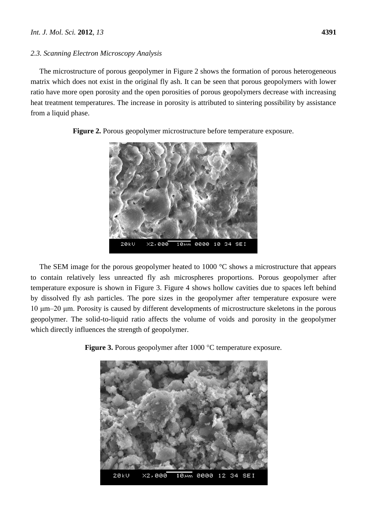# *2.3. Scanning Electron Microscopy Analysis*

The microstructure of porous geopolymer in Figure 2 shows the formation of porous heterogeneous matrix which does not exist in the original fly ash. It can be seen that porous geopolymers with lower ratio have more open porosity and the open porosities of porous geopolymers decrease with increasing heat treatment temperatures. The increase in porosity is attributed to sintering possibility by assistance from a liquid phase.



**Figure 2.** Porous geopolymer microstructure before temperature exposure.

The SEM image for the porous geopolymer heated to 1000  $\mathcal C$  shows a microstructure that appears to contain relatively less unreacted fly ash microspheres proportions. Porous geopolymer after temperature exposure is shown in Figure 3. Figure 4 shows hollow cavities due to spaces left behind by dissolved fly ash particles. The pore sizes in the geopolymer after temperature exposure were 10 μm–20 μm. Porosity is caused by different developments of microstructure skeletons in the porous geopolymer. The solid-to-liquid ratio affects the volume of voids and porosity in the geopolymer which directly influences the strength of geopolymer.



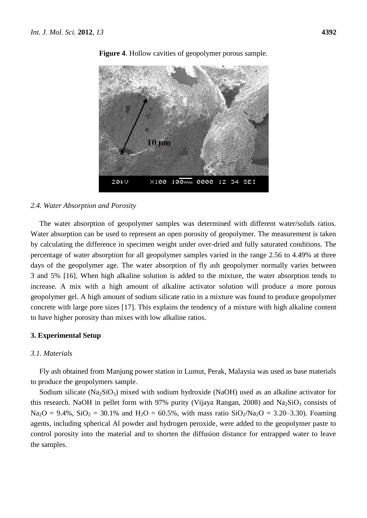

**Figure 4**. Hollow cavities of geopolymer porous sample.

## *2.4. Water Absorption and Porosity*

The water absorption of geopolymer samples was determined with different water/solids ratios. Water absorption can be used to represent an open porosity of geopolymer. The measurement is taken by calculating the difference in specimen weight under over-dried and fully saturated conditions. The percentage of water absorption for all geopolymer samples varied in the range 2.56 to 4.49% at three days of the geopolymer age. The water absorption of fly ash geopolymer normally varies between 3 and 5% [16]. When high alkaline solution is added to the mixture, the water absorption tends to increase. A mix with a high amount of alkaline activator solution will produce a more porous geopolymer gel. A high amount of sodium silicate ratio in a mixture was found to produce geopolymer concrete with large pore sizes [17]. This explains the tendency of a mixture with high alkaline content to have higher porosity than mixes with low alkaline ratios.

#### **3. Experimental Setup**

# *3.1. Materials*

Fly ash obtained from Manjung power station in Lumut, Perak, Malaysia was used as base materials to produce the geopolymers sample.

Sodium silicate ( $Na<sub>2</sub>SiO<sub>3</sub>$ ) mixed with sodium hydroxide (NaOH) used as an alkaline activator for this research. NaOH in pellet form with 97% purity (Vijaya Rangan, 2008) and Na<sub>2</sub>SiO<sub>3</sub> consists of  $Na<sub>2</sub>O = 9.4\%$ ,  $SiO<sub>2</sub> = 30.1\%$  and  $H<sub>2</sub>O = 60.5\%$ , with mass ratio  $SiO<sub>2</sub>/Na<sub>2</sub>O = 3.20-3.30$ . Foaming agents, including spherical Al powder and hydrogen peroxide, were added to the geopolymer paste to control porosity into the material and to shorten the diffusion distance for entrapped water to leave the samples.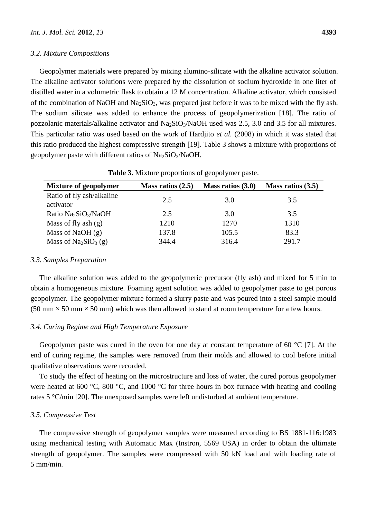#### *3.2. Mixture Compositions*

Geopolymer materials were prepared by mixing alumino-silicate with the alkaline activator solution. The alkaline activator solutions were prepared by the dissolution of sodium hydroxide in one liter of distilled water in a volumetric flask to obtain a 12 M concentration. Alkaline activator, which consisted of the combination of NaOH and Na<sub>2</sub>SiO<sub>3</sub>, was prepared just before it was to be mixed with the fly ash. The sodium silicate was added to enhance the process of geopolymerization [18]. The ratio of

pozzolanic materials/alkaline activator and  $Na<sub>2</sub>SiO<sub>3</sub>/NaOH$  used was 2.5, 3.0 and 3.5 for all mixtures. This particular ratio was used based on the work of Hardjito *et al.* (2008) in which it was stated that this ratio produced the highest compressive strength [19]. Table 3 shows a mixture with proportions of geopolymer paste with different ratios of  $Na<sub>2</sub>SiO<sub>3</sub>/NaOH$ .

| <b>Mixture of geopolymer</b>                 | Mass ratios $(2.5)$ | Mass ratios $(3.0)$ | Mass ratios $(3.5)$ |
|----------------------------------------------|---------------------|---------------------|---------------------|
| Ratio of fly ash/alkaline<br>activator       | 2.5                 | 3.0                 | 3.5                 |
| Ratio Na <sub>2</sub> SiO <sub>3</sub> /NaOH | 2.5                 | 3.0                 | 3.5                 |
| Mass of fly ash $(g)$                        | 1210                | 1270                | 1310                |
| Mass of NaOH $(g)$                           | 137.8               | 105.5               | 83.3                |
| Mass of $Na2SiO3(g)$                         | 344.4               | 316.4               | 291.7               |

**Table 3.** Mixture proportions of geopolymer paste.

# *3.3. Samples Preparation*

The alkaline solution was added to the geopolymeric precursor (fly ash) and mixed for 5 min to obtain a homogeneous mixture. Foaming agent solution was added to geopolymer paste to get porous geopolymer. The geopolymer mixture formed a slurry paste and was poured into a steel sample mould (50 mm  $\times$  50 mm  $\times$  50 mm) which was then allowed to stand at room temperature for a few hours.

# *3.4. Curing Regime and High Temperature Exposure*

Geopolymer paste was cured in the oven for one day at constant temperature of 60  $\degree$  [7]. At the end of curing regime, the samples were removed from their molds and allowed to cool before initial qualitative observations were recorded.

To study the effect of heating on the microstructure and loss of water, the cured porous geopolymer were heated at 600 °C, 800 °C, and 1000 °C for three hours in box furnace with heating and cooling rates 5 °C/min [20]. The unexposed samples were left undisturbed at ambient temperature.

## *3.5. Compressive Test*

The compressive strength of geopolymer samples were measured according to BS 1881-116:1983 using mechanical testing with Automatic Max (Instron, 5569 USA) in order to obtain the ultimate strength of geopolymer. The samples were compressed with 50 kN load and with loading rate of 5 mm/min.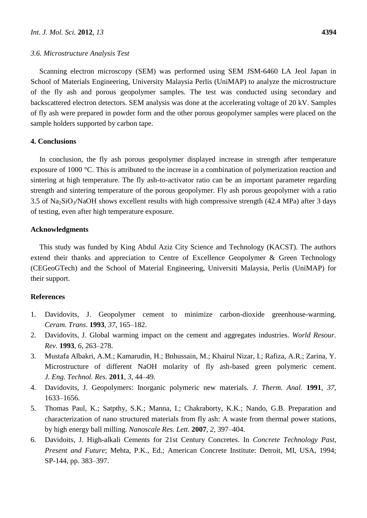#### *3.6. Microstructure Analysis Test*

Scanning electron microscopy (SEM) was performed using SEM JSM-6460 LA Jeol Japan in School of Materials Engineering, University Malaysia Perlis (UniMAP) to analyze the microstructure of the fly ash and porous geopolymer samples. The test was conducted using secondary and backscattered electron detectors. SEM analysis was done at the accelerating voltage of 20 kV. Samples of fly ash were prepared in powder form and the other porous geopolymer samples were placed on the sample holders supported by carbon tape.

# **4. Conclusions**

In conclusion, the fly ash porous geopolymer displayed increase in strength after temperature exposure of 1000 °C. This is attributed to the increase in a combination of polymerization reaction and sintering at high temperature. The fly ash-to-activator ratio can be an important parameter regarding strength and sintering temperature of the porous geopolymer. Fly ash porous geopolymer with a ratio 3.5 of Na2SiO3/NaOH shows excellent results with high compressive strength (42.4 MPa) after 3 days of testing, even after high temperature exposure.

## **Acknowledgments**

This study was funded by King Abdul Aziz City Science and Technology (KACST). The authors extend their thanks and appreciation to Centre of Excellence Geopolymer & Green Technology (CEGeoGTech) and the School of Material Engineering, Universiti Malaysia, Perlis (UniMAP) for their support.

## **References**

- 1. Davidovits, J. Geopolymer cement to minimize carbon-dioxide greenhouse-warming. *Ceram. Trans*. **1993**, *37*, 165–182.
- 2. Davidovits, J. Global warming impact on the cement and aggregates industries. *World Resour. Rev.* **1993**, *6*, 263–278.
- 3. Mustafa Albakri, A.M.; Kamarudin, H.; Bnhussain, M.; Khairul Nizar, I.; Rafiza, A.R.; Zarina, Y. Microstructure of different NaOH molarity of fly ash-based green polymeric cement. *J. Eng. Technol. Res.* **2011**, *3*, 44–49.
- 4. Davidovits, J. Geopolymers: Inorganic polymeric new materials. *J. Therm. Anal.* **1991**, *37*, 1633–1656.
- 5. Thomas Paul, K.; Satpthy, S.K.; Manna, I.; Chakraborty, K.K.; Nando, G.B. Preparation and characterization of nano structured materials from fly ash: A waste from thermal power stations, by high energy ball milling. *Nanoscale Res. Lett.* **2007**, *2*, 397–404.
- 6. Davidoits, J. High-alkali Cements for 21st Century Concretes. In *Concrete Technology Past, Present and Future*; Mehta, P.K., Ed.; American Concrete Institute: Detroit, MI, USA, 1994; SP-144, pp. 383–397.